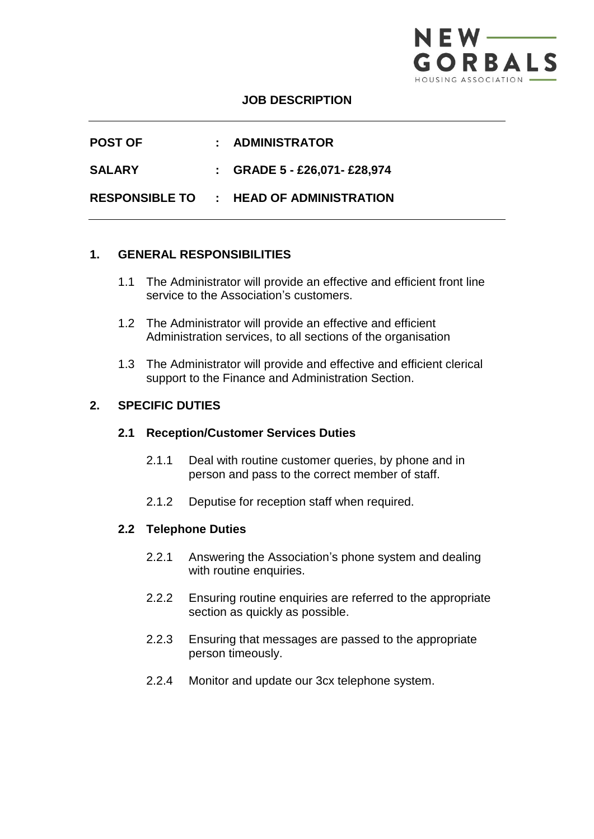

## **JOB DESCRIPTION**

| <b>POST OF</b>        | : ADMINISTRATOR                 |
|-----------------------|---------------------------------|
| SALARY                | : GRADE $5 - £26,071 - £28,974$ |
| <b>RESPONSIBLE TO</b> | : HEAD OF ADMINISTRATION        |

# **1. GENERAL RESPONSIBILITIES**

- 1.1 The Administrator will provide an effective and efficient front line service to the Association's customers.
- 1.2 The Administrator will provide an effective and efficient Administration services, to all sections of the organisation
- 1.3 The Administrator will provide and effective and efficient clerical support to the Finance and Administration Section.

# **2. SPECIFIC DUTIES**

### **2.1 Reception/Customer Services Duties**

- 2.1.1 Deal with routine customer queries, by phone and in person and pass to the correct member of staff.
- 2.1.2 Deputise for reception staff when required.

#### **2.2 Telephone Duties**

- 2.2.1 Answering the Association's phone system and dealing with routine enquiries.
- 2.2.2 Ensuring routine enquiries are referred to the appropriate section as quickly as possible.
- 2.2.3 Ensuring that messages are passed to the appropriate person timeously.
- 2.2.4 Monitor and update our 3cx telephone system.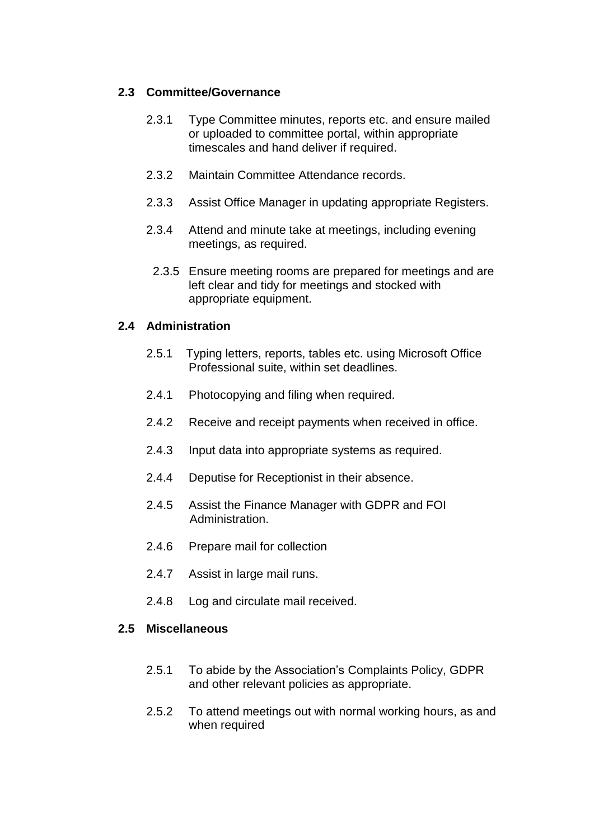# **2.3 Committee/Governance**

- 2.3.1 Type Committee minutes, reports etc. and ensure mailed or uploaded to committee portal, within appropriate timescales and hand deliver if required.
- 2.3.2 Maintain Committee Attendance records.
- 2.3.3 Assist Office Manager in updating appropriate Registers.
- 2.3.4 Attend and minute take at meetings, including evening meetings, as required.
	- 2.3.5 Ensure meeting rooms are prepared for meetings and are left clear and tidy for meetings and stocked with appropriate equipment.

# **2.4 Administration**

- 2.5.1Typing letters, reports, tables etc. using Microsoft Office Professional suite, within set deadlines.
- 2.4.1 Photocopying and filing when required.
- 2.4.2 Receive and receipt payments when received in office.
- 2.4.3 Input data into appropriate systems as required.
- 2.4.4 Deputise for Receptionist in their absence.
- 2.4.5 Assist the Finance Manager with GDPR and FOI Administration.
- 2.4.6 Prepare mail for collection
- 2.4.7 Assist in large mail runs.
- 2.4.8 Log and circulate mail received.

### **2.5 Miscellaneous**

- 2.5.1 To abide by the Association's Complaints Policy, GDPR and other relevant policies as appropriate.
- 2.5.2 To attend meetings out with normal working hours, as and when required